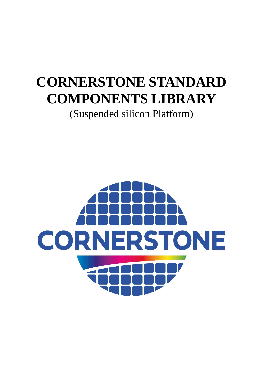# **CORNERSTONE STANDARD COMPONENTS LIBRARY**

(Suspended silicon Platform)

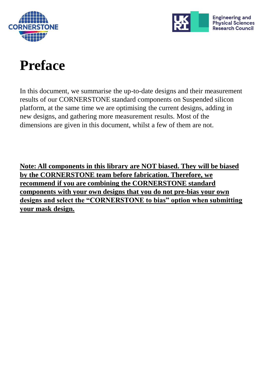



# **Preface**

In this document, we summarise the up-to-date designs and their measurement results of our CORNERSTONE standard components on Suspended silicon platform, at the same time we are optimising the current designs, adding in new designs, and gathering more measurement results. Most of the dimensions are given in this document, whilst a few of them are not.

**Note: All components in this library are NOT biased. They will be biased by the CORNERSTONE team before fabrication. Therefore, we recommend if you are combining the CORNERSTONE standard components with your own designs that you do not pre-bias your own designs and select the "CORNERSTONE to bias" option when submitting your mask design.**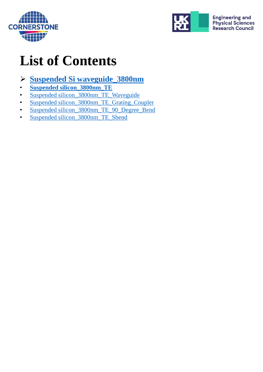



# **List of Contents**

#### ➢ **[Suspended Si waveguide\\_3800nm](#page-3-0)**

- **[Suspended silicon\\_3800nm\\_TE](#page-4-0)**
- [Suspended silicon\\_3800nm\\_TE\\_Waveguide](#page-5-0)
- [Suspended silicon\\_3800nm\\_TE\\_Grating\\_Coupler](#page-6-0)
- [Suspended silicon\\_3800nm\\_TE\\_90\\_Degree\\_Bend](#page-7-0)
- [Suspended silicon\\_3800nm\\_TE\\_Sbend](#page-8-0)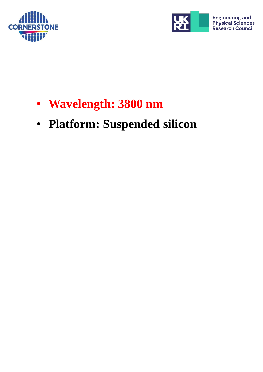<span id="page-3-0"></span>



- **Wavelength: 3800 nm**
- **Platform: Suspended silicon**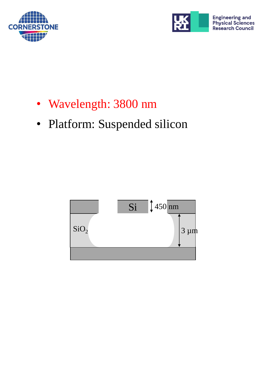<span id="page-4-0"></span>



- Wavelength: 3800 nm
- Platform: Suspended silicon

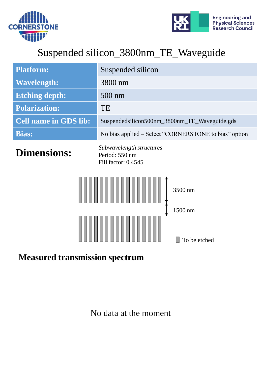<span id="page-5-0"></span>



### Suspended silicon\_3800nm\_TE\_Waveguide

| <b>Platform:</b>                                                                                                              | Suspended silicon                                     |
|-------------------------------------------------------------------------------------------------------------------------------|-------------------------------------------------------|
| <b>Wavelength:</b>                                                                                                            | 3800 nm                                               |
| <b>Etching depth:</b>                                                                                                         | 500 nm                                                |
| <b>Polarization:</b>                                                                                                          | TE                                                    |
| <b>Cell name in GDS lib:</b>                                                                                                  | Suspendedsilicon500nm_3800nm_TE_Waveguide.gds         |
| <b>Bias:</b>                                                                                                                  | No bias applied – Select "CORNERSTONE to bias" option |
| Subwavelength structures<br><b>Dimensions:</b><br>Period: 550 nm<br>Fill factor: 0.4545<br>3500 nm<br>1500 nm<br>To be etched |                                                       |

#### **Measured transmission spectrum**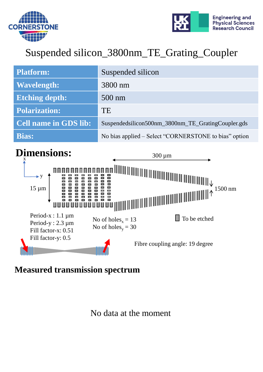<span id="page-6-0"></span>



### Suspended silicon\_3800nm\_TE\_Grating\_Coupler

| <b>Platform:</b>             | Suspended silicon                                     |
|------------------------------|-------------------------------------------------------|
| <b>Wavelength:</b>           | 3800 nm                                               |
| <b>Etching depth:</b>        | $500 \text{ nm}$                                      |
| <b>Polarization:</b>         | TE                                                    |
| <b>Cell name in GDS lib:</b> | Suspendedsilicon500nm_3800nm_TE_GratingCoupler.gds    |
| <b>Bias:</b>                 | No bias applied – Select "CORNERSTONE to bias" option |



**Measured transmission spectrum**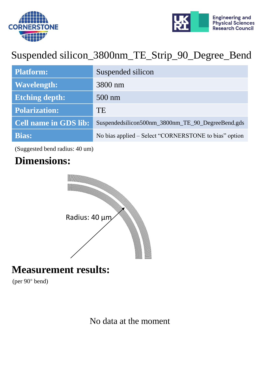<span id="page-7-0"></span>



## Suspended silicon\_3800nm\_TE\_Strip\_90\_Degree\_Bend

| <b>Platform:</b>             | Suspended silicon                                     |
|------------------------------|-------------------------------------------------------|
| <b>Wavelength:</b>           | 3800 nm                                               |
| <b>Etching depth:</b>        | $500 \text{ nm}$                                      |
| <b>Polarization:</b>         | TE                                                    |
| <b>Cell name in GDS lib:</b> | Suspendedsilicon500nm_3800nm_TE_90_DegreeBend.gds     |
| <b>Bias:</b>                 | No bias applied – Select "CORNERSTONE to bias" option |

(Suggested bend radius: 40 um)

### **Dimensions:**



#### **Measurement results:**

(per 90° bend)